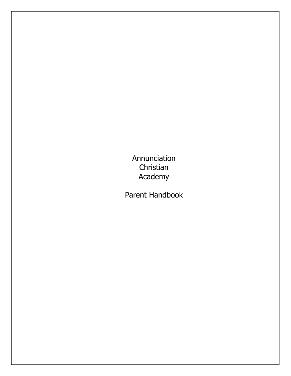Annunciation Christian Academy

Parent Handbook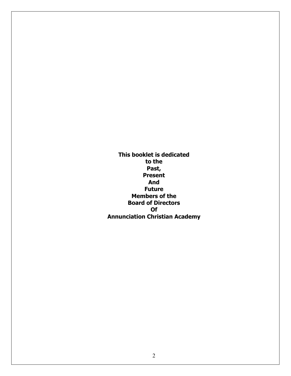**This booklet is dedicated to the Past, Present And Future Members of the Board of Directors Of Annunciation Christian Academy**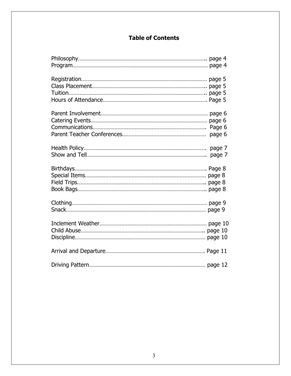# **Table of Contents**

| page 6           |  |
|------------------|--|
| page 7<br>page 7 |  |
|                  |  |
|                  |  |
|                  |  |
|                  |  |
|                  |  |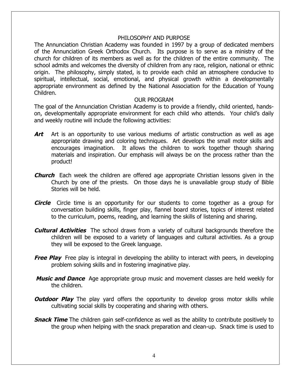#### PHILOSOPHY AND PURPOSE

The Annunciation Christian Academy was founded in 1997 by a group of dedicated members of the Annunciation Greek Orthodox Church. Its purpose is to serve as a ministry of the church for children of its members as well as for the children of the entire community. The school admits and welcomes the diversity of children from any race, religion, national or ethnic origin. The philosophy, simply stated, is to provide each child an atmosphere conducive to spiritual, intellectual, social, emotional, and physical growth within a developmentally appropriate environment as defined by the National Association for the Education of Young Children.

#### OUR PROGRAM

The goal of the Annunciation Christian Academy is to provide a friendly, child oriented, handson, developmentally appropriate environment for each child who attends. Your child's daily and weekly routine will include the following activities:

- Art Art is an opportunity to use various mediums of artistic construction as well as age appropriate drawing and coloring techniques. Art develops the small motor skills and encourages imagination. It allows the children to work together though sharing materials and inspiration. Our emphasis will always be on the process rather than the product!
- **Church** Each week the children are offered age appropriate Christian lessons given in the Church by one of the priests. On those days he is unavailable group study of Bible Stories will be held.
- **Circle** Circle time is an opportunity for our students to come together as a group for conversation building skills, finger play, flannel board stories, topics of interest related to the curriculum, poems, reading, and learning the skills of listening and sharing.
- **Cultural Activities** The school draws from a variety of cultural backgrounds therefore the children will be exposed to a variety of languages and cultural activities. As a group they will be exposed to the Greek language.
- **Free Play** Free play is integral in developing the ability to interact with peers, in developing problem solving skills and in fostering imaginative play.
- **Music and Dance** Age appropriate group music and movement classes are held weekly for the children.
- **Outdoor Play** The play yard offers the opportunity to develop gross motor skills while cultivating social skills by cooperating and sharing with others.
- **Snack Time** The children gain self-confidence as well as the ability to contribute positively to the group when helping with the snack preparation and clean-up. Snack time is used to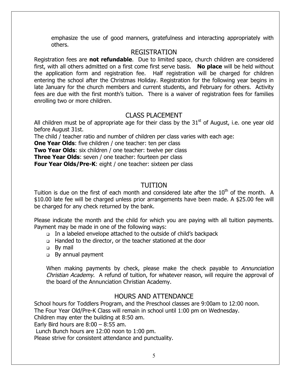emphasize the use of good manners, gratefulness and interacting appropriately with others.

## REGISTRATION

Registration fees are **not refundable**. Due to limited space, church children are considered first, with all others admitted on a first come first serve basis. **No place** will be held without the application form and registration fee. Half registration will be charged for children entering the school after the Christmas Holiday. Registration for the following year begins in late January for the church members and current students, and February for others. Activity fees are due with the first month's tuition. There is a waiver of registration fees for families enrolling two or more children.

# CLASS PLACEMENT

All children must be of appropriate age for their class by the  $31<sup>st</sup>$  of August, i.e. one year old before August 31st.

The child / teacher ratio and number of children per class varies with each age:

**One Year Olds:** five children / one teacher: ten per class

**Two Year Olds**: six children / one teacher: twelve per class

**Three Year Olds:** seven / one teacher: fourteen per class

**Four Year Olds/Pre-K:** eight / one teacher: sixteen per class

# TUITION

Tuition is due on the first of each month and considered late after the  $10<sup>th</sup>$  of the month. A \$10.00 late fee will be charged unless prior arrangements have been made. A \$25.00 fee will be charged for any check returned by the bank.

Please indicate the month and the child for which you are paying with all tuition payments. Payment may be made in one of the following ways:

- In a labeled envelope attached to the outside of child's backpack
- ! Handed to the director, or the teacher stationed at the door
- □ By mail
- **Example 1** By annual payment

When making payments by check, please make the check payable to Annunciation Christian Academy. A refund of tuition, for whatever reason, will require the approval of the board of the Annunciation Christian Academy.

# HOURS AND ATTENDANCE

School hours for Toddlers Program, and the Preschool classes are 9:00am to 12:00 noon. The Four Year Old/Pre-K Class will remain in school until 1:00 pm on Wednesday. Children may enter the building at 8:50 am.

Early Bird hours are  $8:00 - 8:55$  am.

Lunch Bunch hours are 12:00 noon to 1:00 pm.

Please strive for consistent attendance and punctuality.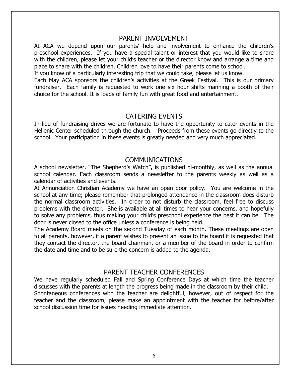#### PARENT INVOLVEMENT

At ACA we depend upon our parents' help and involvement to enhance the children's preschool experiences. If you have a special talent or interest that you would like to share with the children, please let your child's teacher or the director know and arrange a time and place to share with the children. Children love to have their parents come to school.

If you know of a particularly interesting trip that we could take, please let us know.

Each May ACA sponsors the children's activities at the Greek Festival. This is our primary fundraiser. Each family is requested to work one six hour shifts manning a booth of their choice for the school. It is loads of family fun with great food and entertainment.

## CATERING EVENTS

In lieu of fundraising drives we are fortunate to have the opportunity to cater events in the Hellenic Center scheduled through the church. Proceeds from these events go directly to the school. Your participation in these events is greatly needed and very much appreciated.

### COMMUNICATIONS

A school newsletter, "The Shepherd's Watch"**,** is published bi-monthly, as well as the annual school calendar. Each classroom sends a newsletter to the parents weekly as well as a calendar of activities and events.

At Annunciation Christian Academy we have an open door policy. You are welcome in the school at any time; please remember that prolonged attendance in the classroom does disturb the normal classroom activities. In order to not disturb the classroom, feel free to discuss problems with the director. She is available at all times to hear your concerns, and hopefully to solve any problems, thus making your child's preschool experience the best it can be. The door is never closed to the office unless a conference is being held.

The Academy Board meets on the second Tuesday of each month. These meetings are open to all parents, however, if a parent wishes to present an issue to the board it is requested that they contact the director, the board chairman, or a member of the board in order to confirm the date and time and to be sure the concern is added to the agenda.

### PARENT TEACHER CONFERENCES

We have regularly scheduled Fall and Spring Conference Days at which time the teacher discusses with the parents at length the progress being made in the classroom by their child. Spontaneous conferences with the teacher are delightful, however, out of respect for the teacher and the classroom, please make an appointment with the teacher for before/after school discussion time for issues needing immediate attention.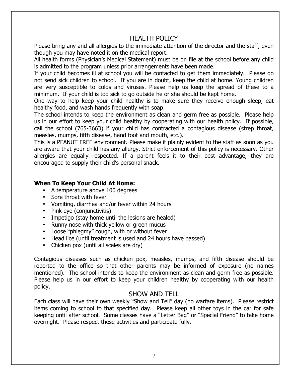# HEALTH POLICY

Please bring any and all allergies to the immediate attention of the director and the staff, even though you may have noted it on the medical report.

All health forms (Physician's Medical Statement) must be on file at the school before any child is admitted to the program unless prior arrangements have been made.

If your child becomes ill at school you will be contacted to get them immediately. Please do not send sick children to school. If you are in doubt, keep the child at home. Young children are very susceptible to colds and viruses. Please help us keep the spread of these to a minimum. If your child is too sick to go outside he or she should be kept home.

One way to help keep your child healthy is to make sure they receive enough sleep, eat healthy food, and wash hands frequently with soap.

The school intends to keep the environment as clean and germ free as possible. Please help us in our effort to keep your child healthy by cooperating with our health policy. If possible, call the school (765-3663) if your child has contracted a contagious disease (strep throat, measles, mumps, fifth disease, hand foot and mouth, etc.).

This is a PEANUT FREE environment. Please make it plainly evident to the staff as soon as you are aware that your child has any allergy. Strict enforcement of this policy is necessary. Other allergies are equally respected. If a parent feels it to their best advantage, they are encouraged to supply their child's personal snack.

### **When To Keep Your Child At Home:**

- A temperature above 100 degrees
- Sore throat with fever
- Vomiting, diarrhea and/or fever within 24 hours
- Pink eye (conjunctivitis)
- Impetigo (stay home until the lesions are healed)
- Runny nose with thick yellow or green mucus
- Loose "phlegmy" cough, with or without fever
- Head lice (until treatment is used and 24 hours have passed)
- Chicken pox (until all scales are dry)

Contagious diseases such as chicken pox, measles, mumps, and fifth disease should be reported to the office so that other parents may be informed of exposure (no names mentioned). The school intends to keep the environment as clean and germ free as possible. Please help us in our effort to keep your children healthy by cooperating with our health policy.

### SHOW AND TELL

Each class will have their own weekly "Show and Tell" day (no warfare items). Please restrict items coming to school to that specified day. Please keep all other toys in the car for safe keeping until after school. Some classes have a "Letter Bag" or "Special Friend" to take home overnight. Please respect these activities and participate fully.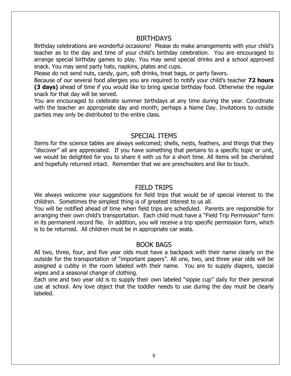#### **BIRTHDAYS**

Birthday celebrations are wonderful occasions! Please do make arrangements with your child's teacher as to the day and time of your child's birthday celebration. You are encouraged to arrange special birthday games to play. You may send special drinks and a school approved snack. You may send party hats, napkins, plates and cups.

Please do not send nuts, candy, gum, soft drinks, treat bags, or party favors.

Because of our several food allergies you are required to notify your child's teacher **72 hours (3 days)** ahead of time if you would like to bring special birthday food. Otherwise the regular snack for that day will be served.

You are encouraged to celebrate summer birthdays at any time during the year. Coordinate with the teacher an appropriate day and month; perhaps a Name Day. Invitations to outside parties may only be distributed to the entire class.

### SPECIAL ITEMS

Items for the science tables are always welcomed; shells, nests, feathers, and things that they "discover" all are appreciated. If you have something that pertains to a specific topic or unit, we would be delighted for you to share it with us for a short time. All items will be cherished and hopefully returned intact. Remember that we are preschoolers and like to touch.

### FIELD TRIPS

We always welcome your suggestions for field trips that would be of special interest to the children. Sometimes the simplest thing is of greatest interest to us all.

You will be notified ahead of time when field trips are scheduled. Parents are responsible for arranging their own child's transportation. Each child must have a "Field Trip Permission" form in its permanent record file. In addition, you will receive a trip specific permission form, which is to be returned. All children must be in appropriate car seats.

## BOOK BAGS

All two, three, four, and five year olds must have a backpack with their name clearly on the outside for the transportation of "important papers". All one, two, and three year olds will be assigned a cubby in the room labeled with their name. You are to supply diapers, special wipes and a seasonal change of clothing.

Each one and two year old is to supply their own labeled "sippie cup" daily for their personal use at school. Any love object that the toddler needs to use during the day must be clearly labeled.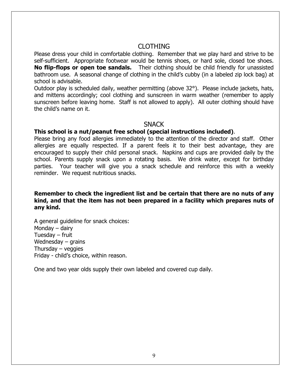## CLOTHING

Please dress your child in comfortable clothing. Remember that we play hard and strive to be self-sufficient. Appropriate footwear would be tennis shoes, or hard sole, closed toe shoes. **No flip-flops or open toe sandals.** Their clothing should be child friendly for unassisted bathroom use. A seasonal change of clothing in the child's cubby (in a labeled zip lock bag) at school is advisable.

Outdoor play is scheduled daily, weather permitting (above 32°). Please include jackets, hats, and mittens accordingly; cool clothing and sunscreen in warm weather (remember to apply sunscreen before leaving home. Staff is not allowed to apply). All outer clothing should have the child's name on it.

#### **SNACK**

#### **This school is a nut/peanut free school (special instructions included)**.

Please bring any food allergies immediately to the attention of the director and staff. Other allergies are equally respected. If a parent feels it to their best advantage, they are encouraged to supply their child personal snack. Napkins and cups are provided daily by the school. Parents supply snack upon a rotating basis. We drink water, except for birthday parties. Your teacher will give you a snack schedule and reinforce this with a weekly reminder. We request nutritious snacks.

#### **Remember to check the ingredient list and be certain that there are no nuts of any kind, and that the item has not been prepared in a facility which prepares nuts of any kind.**

A general guideline for snack choices: Monday – dairy Tuesday – fruit Wednesday – grains Thursday – veggies Friday - child's choice, within reason.

One and two year olds supply their own labeled and covered cup daily.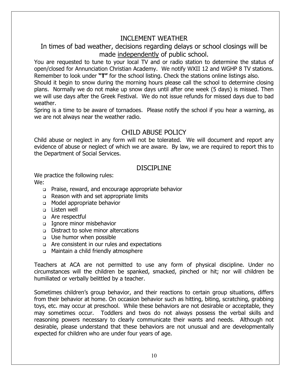# INCLEMENT WEATHER

In times of bad weather, decisions regarding delays or school closings will be made independently of public school.

You are requested to tune to your local TV and or radio station to determine the status of open/closed for Annunciation Christian Academy. We notify WXII 12 and WGHP 8 TV stations. Remember to look under **"T"** for the school listing. Check the stations online listings also.

Should it begin to snow during the morning hours please call the school to determine closing plans. Normally we do not make up snow days until after one week (5 days) is missed. Then we will use days after the Greek Festival. We do not issue refunds for missed days due to bad weather.

Spring is a time to be aware of tornadoes. Please notify the school if you hear a warning, as we are not always near the weather radio.

# CHILD ABUSE POLICY

Child abuse or neglect in any form will not be tolerated. We will document and report any evidence of abuse or neglect of which we are aware. By law, we are required to report this to the Department of Social Services.

# DISCIPI INF

We practice the following rules: We:

- ! Praise, reward, and encourage appropriate behavior
- □ Reason with and set appropriate limits
- o Model appropriate behavior
- **D** Listen well
- o Are respectful
- Ignore minor misbehavior
- **Distract to solve minor altercations**
- **Use humor when possible**
- o Are consistent in our rules and expectations
- ! Maintain a child friendly atmosphere

Teachers at ACA are not permitted to use any form of physical discipline. Under no circumstances will the children be spanked, smacked, pinched or hit; nor will children be humiliated or verbally belittled by a teacher.

Sometimes children's group behavior, and their reactions to certain group situations, differs from their behavior at home. On occasion behavior such as hitting, biting, scratching, grabbing toys, etc. may occur at preschool. While these behaviors are not desirable or acceptable, they may sometimes occur. Toddlers and twos do not always possess the verbal skills and reasoning powers necessary to clearly communicate their wants and needs. Although not desirable, please understand that these behaviors are not unusual and are developmentally expected for children who are under four years of age.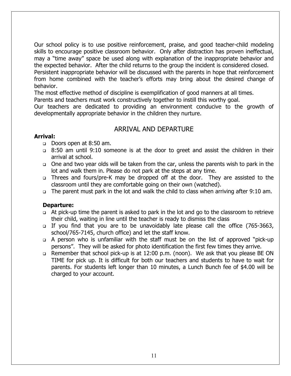Our school policy is to use positive reinforcement, praise, and good teacher-child modeling skills to encourage positive classroom behavior. Only after distraction has proven ineffectual, may a "time away" space be used along with explanation of the inappropriate behavior and the expected behavior. After the child returns to the group the incident is considered closed. Persistent inappropriate behavior will be discussed with the parents in hope that reinforcement from home combined with the teacher's efforts may bring about the desired change of behavior.

The most effective method of discipline is exemplification of good manners at all times. Parents and teachers must work constructively together to instill this worthy goal.

Our teachers are dedicated to providing an environment conducive to the growth of developmentally appropriate behavior in the children they nurture.

## ARRIVAL AND DEPARTURE

#### **Arrival:**

- Doors open at 8:50 am.
- ! 8:50 am until 9:10 someone is at the door to greet and assist the children in their arrival at school.
- ! One and two year olds will be taken from the car, unless the parents wish to park in the lot and walk them in. Please do not park at the steps at any time.
- □ Threes and fours/pre-K may be dropped off at the door. They are assisted to the classroom until they are comfortable going on their own (watched).
- . The parent must park in the lot and walk the child to class when arriving after 9:10 am.

#### **Departure:**

- ! At pick-up time the parent is asked to park in the lot and go to the classroom to retrieve their child, waiting in line until the teacher is ready to dismiss the class
- ! If you find that you are to be unavoidably late please call the office (765-3663, school/765-7145, church office) and let the staff know.
- ! A person who is unfamiliar with the staff must be on the list of approved "pick-up persons". They will be asked for photo identification the first few times they arrive.
- □ Remember that school pick-up is at 12:00 p.m. (noon). We ask that you please BE ON TIME for pick up. It is difficult for both our teachers and students to have to wait for parents. For students left longer than 10 minutes, a Lunch Bunch fee of \$4.00 will be charged to your account.